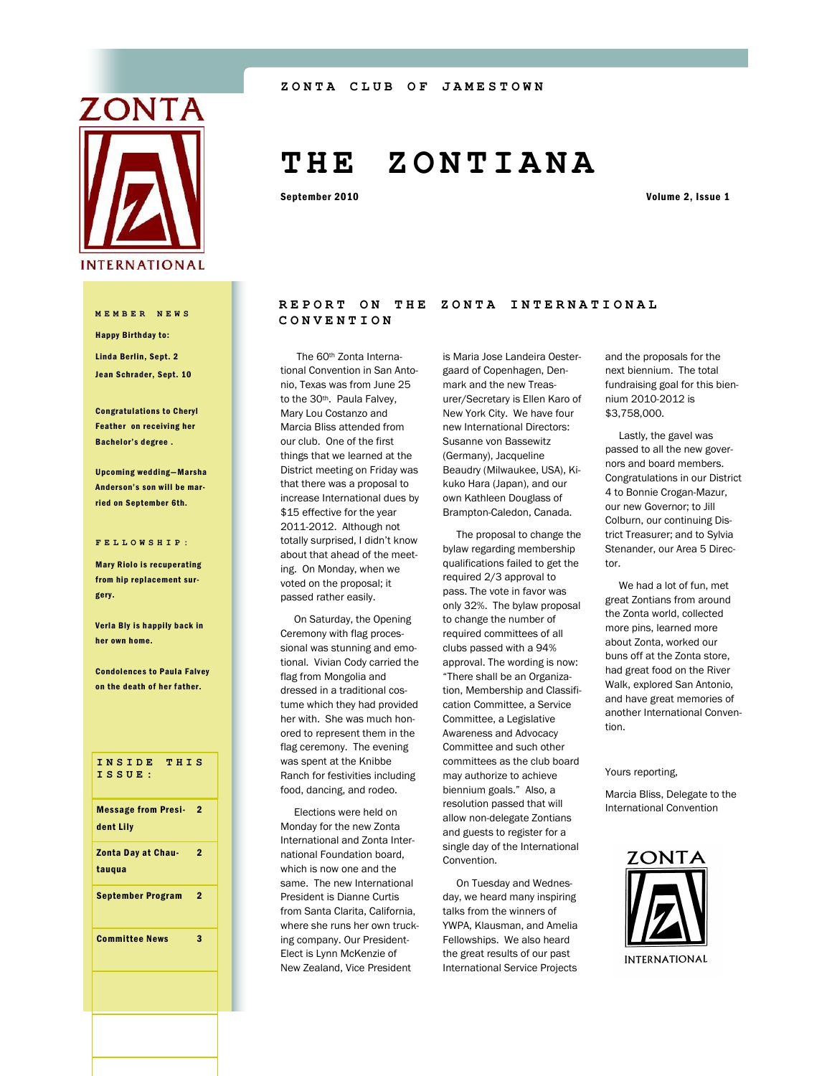

Happy Birthday to: Linda Berlin, Sept. 2 Jean Schrader, Sept. 10

Congratulations to Cheryl Feather on receiving her Bachelor's degree .

Upcoming wedding—Marsha Anderson's son will be married on September 6th.

#### **FELLOWSHIP:**

Mary Riolo is recuperating from hip replacement surgery.

Verla Bly is happily back in her own home.

**Condolences to Paula Falvey** on the death of her father.

### **INSIDE THIS ISSUE:**

| <b>Message from Presi-</b><br>dent Lily | 2 |
|-----------------------------------------|---|
| <b>Zonta Day at Chau-</b><br>taugua     | 2 |
| September Program                       | 2 |
| <b>Committee News</b>                   | з |

# **T H E Z O N T I A N A**

September 2010 Volume 2, Issue 1

## REPORT ON THE ZONTA INTERNATIONAL **MEMBER NEWS** CONVENTION

 The 60th Zonta International Convention in San Antonio, Texas was from June 25 to the 30<sup>th</sup>. Paula Falvey, Mary Lou Costanzo and Marcia Bliss attended from our club. One of the first things that we learned at the District meeting on Friday was that there was a proposal to increase International dues by \$15 effective for the year 2011-2012. Although not totally surprised, I didn't know about that ahead of the meeting. On Monday, when we voted on the proposal; it passed rather easily.

 On Saturday, the Opening Ceremony with flag processional was stunning and emotional. Vivian Cody carried the flag from Mongolia and dressed in a traditional costume which they had provided her with. She was much honored to represent them in the flag ceremony. The evening was spent at the Knibbe Ranch for festivities including food, dancing, and rodeo.

 Elections were held on Monday for the new Zonta International and Zonta International Foundation board, which is now one and the same. The new International President is Dianne Curtis from Santa Clarita, California, where she runs her own trucking company. Our President-Elect is Lynn McKenzie of New Zealand, Vice President

is Maria Jose Landeira Oestergaard of Copenhagen, Denmark and the new Treasurer/Secretary is Ellen Karo of New York City. We have four new International Directors: Susanne von Bassewitz (Germany), Jacqueline Beaudry (Milwaukee, USA), Kikuko Hara (Japan), and our own Kathleen Douglass of Brampton-Caledon, Canada.

 The proposal to change the bylaw regarding membership qualifications failed to get the required 2/3 approval to pass. The vote in favor was only 32%. The bylaw proposal to change the number of required committees of all clubs passed with a 94% approval. The wording is now: ―There shall be an Organization, Membership and Classification Committee, a Service Committee, a Legislative Awareness and Advocacy Committee and such other committees as the club board may authorize to achieve biennium goals." Also, a resolution passed that will allow non-delegate Zontians and guests to register for a single day of the International Convention.

 On Tuesday and Wednesday, we heard many inspiring talks from the winners of YWPA, Klausman, and Amelia Fellowships. We also heard the great results of our past International Service Projects and the proposals for the next biennium. The total fundraising goal for this biennium 2010-2012 is \$3,758,000.

 Lastly, the gavel was passed to all the new governors and board members. Congratulations in our District 4 to Bonnie Crogan-Mazur, our new Governor; to Jill Colburn, our continuing District Treasurer; and to Sylvia Stenander, our Area 5 Director.

 We had a lot of fun, met great Zontians from around the Zonta world, collected more pins, learned more about Zonta, worked our buns off at the Zonta store, had great food on the River Walk, explored San Antonio, and have great memories of another International Convention.

Yours reporting,

Marcia Bliss, Delegate to the International Convention

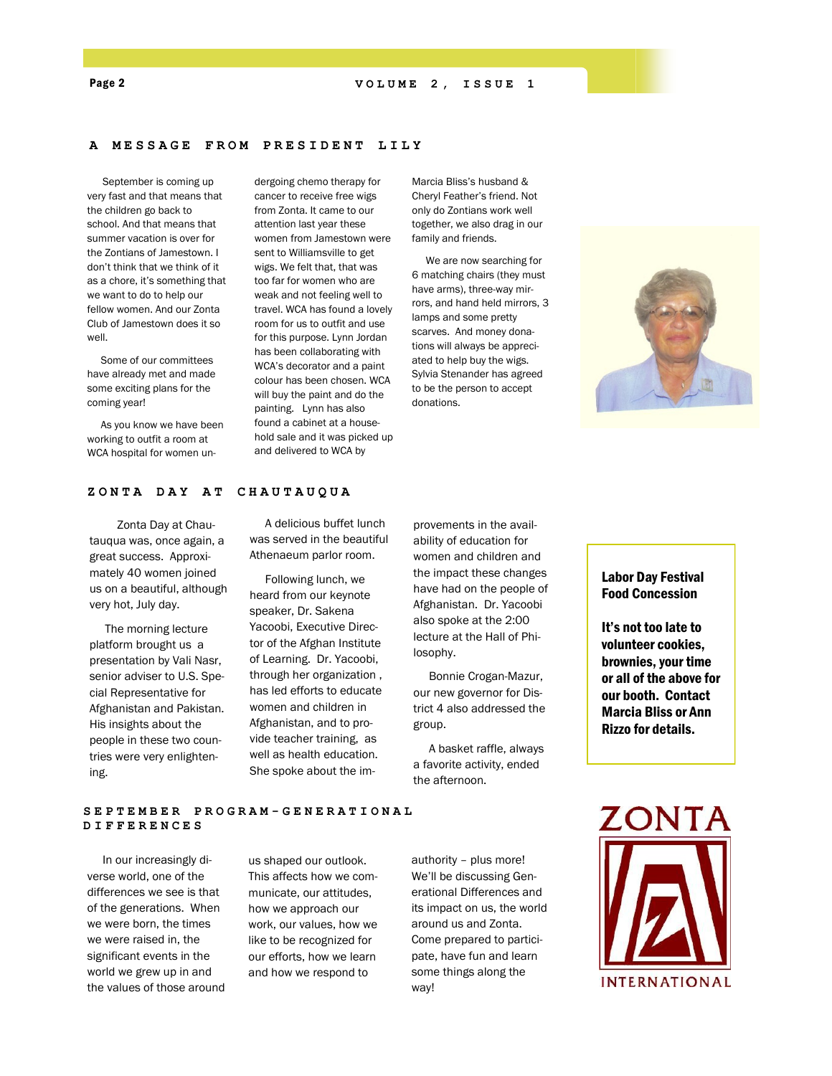# **A MESSAGE FROM PRESI D E N T L I L Y**

 September is coming up very fast and that means that the children go back to school. And that means that summer vacation is over for the Zontians of Jamestown. I don't think that we think of it as a chore, it's something that we want to do to help our fellow women. And our Zonta Club of Jamestown does it so well.

 Some of our committees have already met and made some exciting plans for the coming year!

 As you know we have been working to outfit a room at WCA hospital for women undergoing chemo therapy for cancer to receive free wigs from Zonta. It came to our attention last year these women from Jamestown were sent to Williamsville to get wigs. We felt that, that was too far for women who are weak and not feeling well to travel. WCA has found a lovely room for us to outfit and use for this purpose. Lynn Jordan has been collaborating with WCA's decorator and a paint colour has been chosen. WCA will buy the paint and do the painting. Lynn has also found a cabinet at a household sale and it was picked up and delivered to WCA by

Marcia Bliss's husband & Cheryl Feather's friend. Not only do Zontians work well together, we also drag in our family and friends.

 We are now searching for 6 matching chairs (they must have arms), three-way mirrors, and hand held mirrors, 3 lamps and some pretty scarves. And money donations will always be appreciated to help buy the wigs. Sylvia Stenander has agreed to be the person to accept donations.



#### **ZONTA DAY AT CHAUTAU QUA**

 Zonta Day at Chautauqua was, once again, a great success. Approximately 40 women joined us on a beautiful, although very hot, July day.

 The morning lecture platform brought us a presentation by Vali Nasr, senior adviser to U.S. Special Representative for Afghanistan and Pakistan. His insights about the people in these two countries were very enlightening.

 A delicious buffet lunch was served in the beautiful Athenaeum parlor room.

 Following lunch, we heard from our keynote speaker, Dr. Sakena Yacoobi, Executive Director of the Afghan Institute of Learning. Dr. Yacoobi, through her organization , has led efforts to educate women and children in Afghanistan, and to provide teacher training, as well as health education. She spoke about the improvements in the availability of education for women and children and the impact these changes have had on the people of Afghanistan. Dr. Yacoobi also spoke at the 2:00 lecture at the Hall of Philosophy.

 Bonnie Crogan-Mazur, our new governor for District 4 also addressed the group.

 A basket raffle, always a favorite activity, ended the afternoon.

# Labor Day Festival Food Concession

It's not too late to volunteer cookies, brownies, your time or all of the above for our booth. Contact Marcia Bliss or Ann Rizzo for details.

**SEPTEMBER PROGRAM - G E N E R A T I O N A L DIFFERENCES** 

 In our increasingly diverse world, one of the differences we see is that of the generations. When we were born, the times we were raised in, the significant events in the world we grew up in and the values of those around us shaped our outlook. This affects how we communicate, our attitudes, how we approach our work, our values, how we like to be recognized for our efforts, how we learn and how we respond to

authority – plus more! We'll be discussing Generational Differences and its impact on us, the world around us and Zonta. Come prepared to participate, have fun and learn some things along the way!